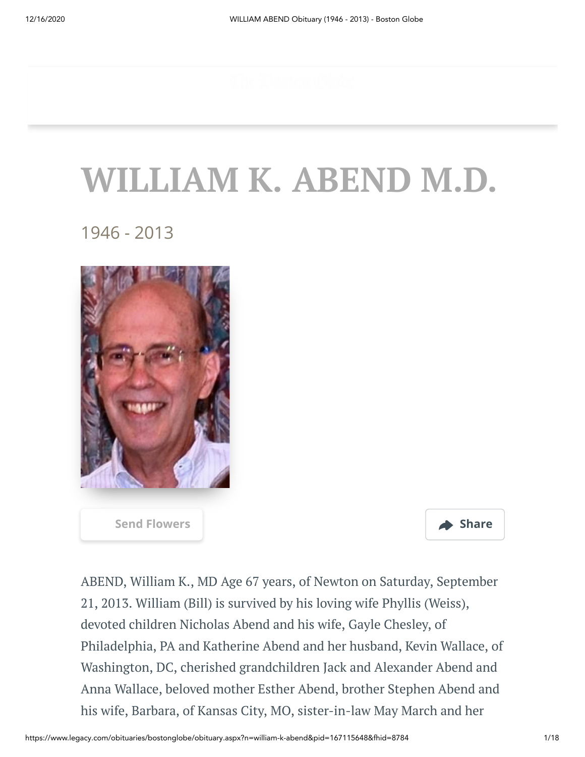## **WILLIAM K. ABEND M.D.**

1946 - 2013



**[Send Flowers](https://sympathy.legacy.com/en-us/funeral-flowers/name/william-abend-funeral-flowers/p167115648/?affiliateId=1232&pm=205) Share** 



ABEND, William K., MD Age 67 years, of Newton on Saturday, September 21, 2013. William (Bill) is survived by his loving wife Phyllis (Weiss), devoted children Nicholas Abend and his wife, Gayle Chesley, of Philadelphia, PA and Katherine Abend and her husband, Kevin Wallace, of Washington, DC, cherished grandchildren Jack and Alexander Abend and Anna Wallace, beloved mother Esther Abend, brother Stephen Abend and his wife, Barbara, of Kansas City, MO, sister-in-law May March and her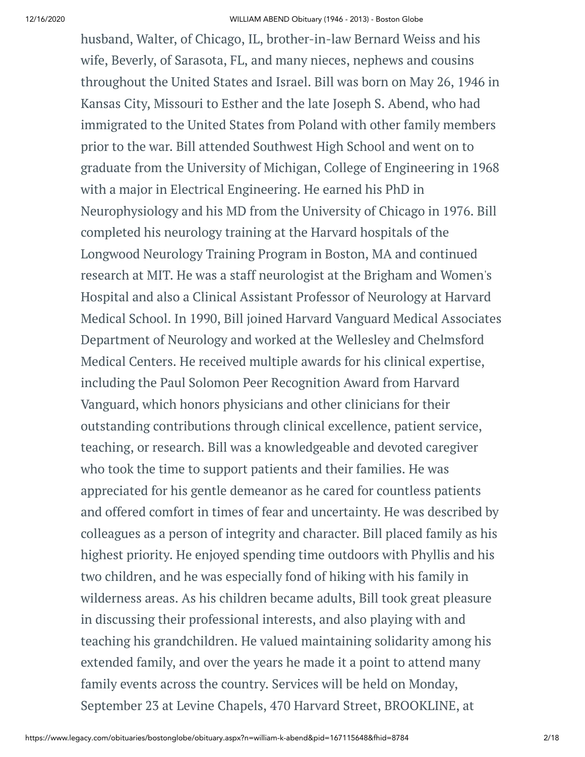husband, Walter, of Chicago, IL, brother-in-law Bernard Weiss and his wife, Beverly, of Sarasota, FL, and many nieces, nephews and cousins throughout the United States and Israel. Bill was born on May 26, 1946 in Kansas City, Missouri to Esther and the late Joseph S. Abend, who had immigrated to the United States from Poland with other family members prior to the war. Bill attended Southwest High School and went on to graduate from the University of Michigan, College of Engineering in 1968 with a major in Electrical Engineering. He earned his PhD in Neurophysiology and his MD from the University of Chicago in 1976. Bill completed his neurology training at the Harvard hospitals of the Longwood Neurology Training Program in Boston, MA and continued research at MIT. He was a staff neurologist at the Brigham and Women's Hospital and also a Clinical Assistant Professor of Neurology at Harvard Medical School. In 1990, Bill joined Harvard Vanguard Medical Associates Department of Neurology and worked at the Wellesley and Chelmsford Medical Centers. He received multiple awards for his clinical expertise, including the Paul Solomon Peer Recognition Award from Harvard Vanguard, which honors physicians and other clinicians for their outstanding contributions through clinical excellence, patient service, teaching, or research. Bill was a knowledgeable and devoted caregiver who took the time to support patients and their families. He was appreciated for his gentle demeanor as he cared for countless patients and offered comfort in times of fear and uncertainty. He was described by colleagues as a person of integrity and character. Bill placed family as his highest priority. He enjoyed spending time outdoors with Phyllis and his two children, and he was especially fond of hiking with his family in wilderness areas. As his children became adults, Bill took great pleasure in discussing their professional interests, and also playing with and teaching his grandchildren. He valued maintaining solidarity among his extended family, and over the years he made it a point to attend many family events across the country. Services will be held on Monday, September 23 at Levine Chapels, 470 Harvard Street, BROOKLINE, at